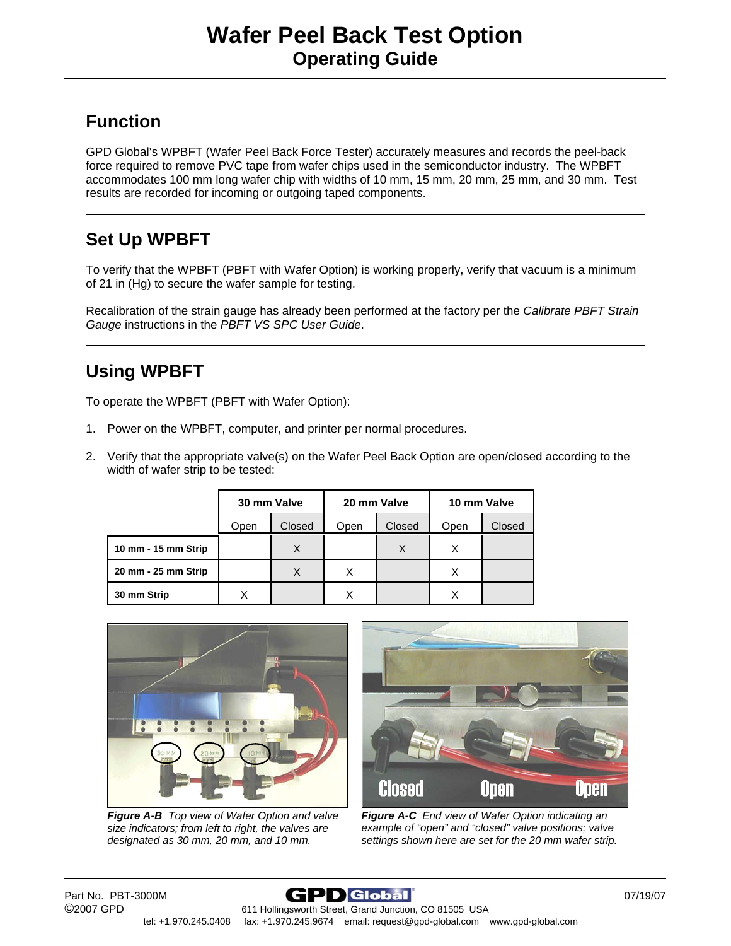## **Function**

GPD Global's WPBFT (Wafer Peel Back Force Tester) accurately measures and records the peel-back force required to remove PVC tape from wafer chips used in the semiconductor industry. The WPBFT accommodates 100 mm long wafer chip with widths of 10 mm, 15 mm, 20 mm, 25 mm, and 30 mm. Test results are recorded for incoming or outgoing taped components.

## **Set Up WPBFT**

To verify that the WPBFT (PBFT with Wafer Option) is working properly, verify that vacuum is a minimum of 21 in (Hg) to secure the wafer sample for testing.

Recalibration of the strain gauge has already been performed at the factory per the *Calibrate PBFT Strain Gauge* instructions in the *PBFT VS SPC User Guide*.

## **Using WPBFT**

To operate the WPBFT (PBFT with Wafer Option):

- 1. Power on the WPBFT, computer, and printer per normal procedures.
- 2. Verify that the appropriate valve(s) on the Wafer Peel Back Option are open/closed according to the width of wafer strip to be tested:

|                     | 30 mm Valve |        | 20 mm Valve |        | 10 mm Valve |        |
|---------------------|-------------|--------|-------------|--------|-------------|--------|
|                     | Open        | Closed | Open        | Closed | Open        | Closed |
| 10 mm - 15 mm Strip |             | X      |             | X      | Х           |        |
| 20 mm - 25 mm Strip |             | X      | X           |        | X           |        |
| 30 mm Strip         | x           |        | Χ           |        | Χ           |        |



*Figure A-B Top view of Wafer Option and valve size indicators; from left to right, the valves are designated as 30 mm, 20 mm, and 10 mm.*



*Figure A-C End view of Wafer Option indicating an example of "open" and "closed" valve positions; valve settings shown here are set for the 20 mm wafer strip.*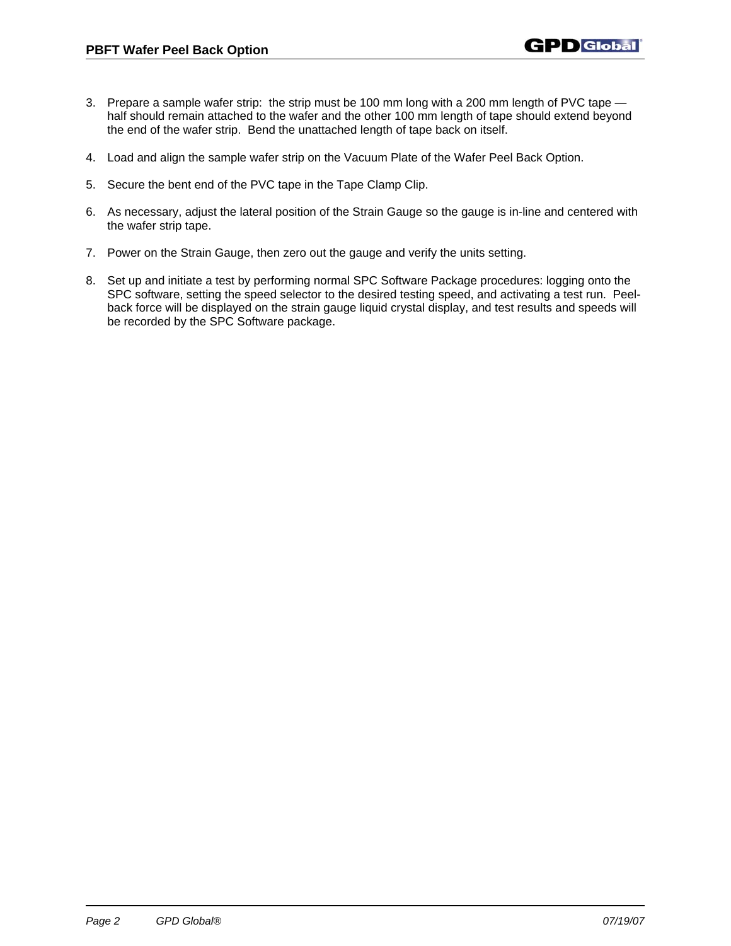- 3. Prepare a sample wafer strip: the strip must be 100 mm long with a 200 mm length of PVC tape half should remain attached to the wafer and the other 100 mm length of tape should extend beyond the end of the wafer strip. Bend the unattached length of tape back on itself.
- 4. Load and align the sample wafer strip on the Vacuum Plate of the Wafer Peel Back Option.
- 5. Secure the bent end of the PVC tape in the Tape Clamp Clip.
- 6. As necessary, adjust the lateral position of the Strain Gauge so the gauge is in-line and centered with the wafer strip tape.
- 7. Power on the Strain Gauge, then zero out the gauge and verify the units setting.
- 8. Set up and initiate a test by performing normal SPC Software Package procedures: logging onto the SPC software, setting the speed selector to the desired testing speed, and activating a test run. Peelback force will be displayed on the strain gauge liquid crystal display, and test results and speeds will be recorded by the SPC Software package.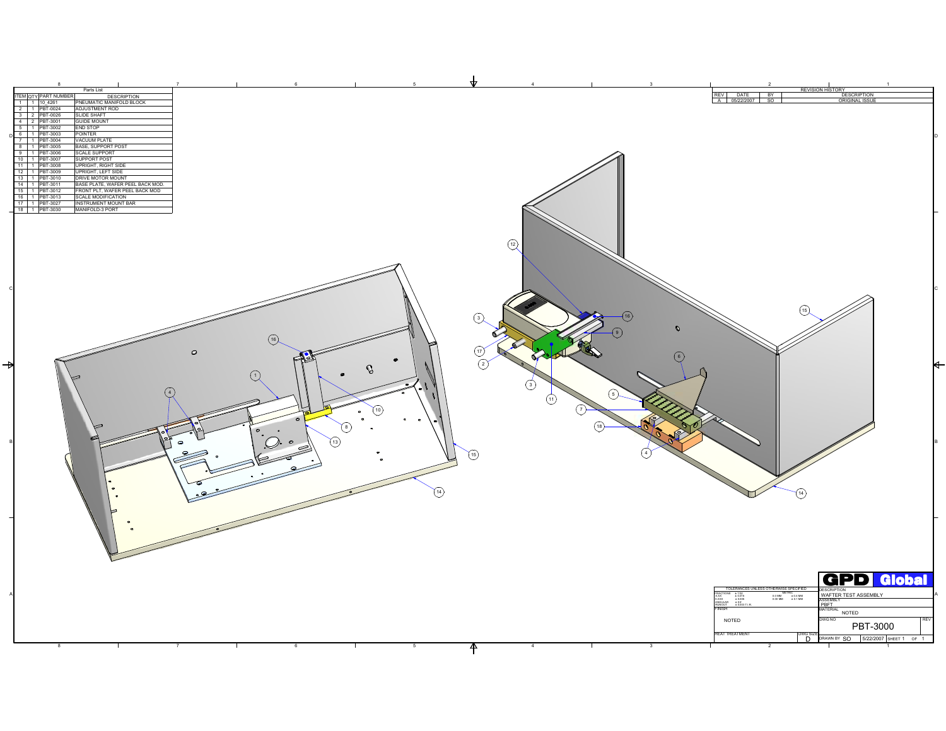